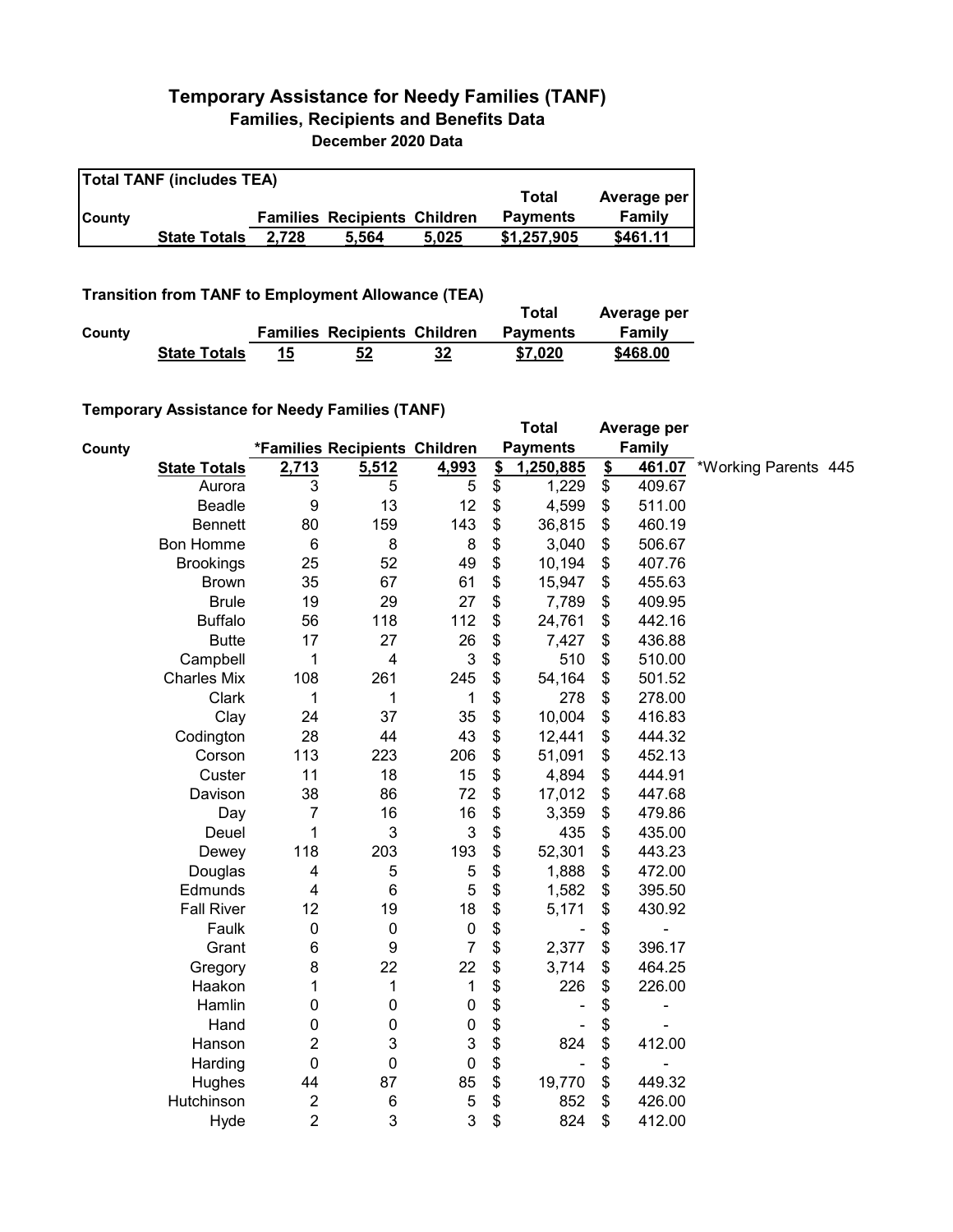## **Temporary Assistance for Needy Families (TANF) Families, Recipients and Benefits Data December 2020 Data**

| <b>Total TANF (includes TEA)</b> |                     |       |                                     |       |                 |             |  |  |
|----------------------------------|---------------------|-------|-------------------------------------|-------|-----------------|-------------|--|--|
|                                  |                     |       |                                     |       | Total           | Average per |  |  |
| <b>County</b>                    |                     |       | <b>Families Recipients Children</b> |       | <b>Payments</b> | Family      |  |  |
|                                  | <b>State Totals</b> | 2.728 | 5.564                               | 5.025 | \$1,257,905     | \$461.11    |  |  |

**Transition from TANF to Employment Allowance (TEA)**

|        | <b>ITAIISIUVII IIVIII TANT LO EIIIPIOVIIIEIIL AIIUWAIICE (TEA)</b> |    |                                     |    | Total           | Average per |
|--------|--------------------------------------------------------------------|----|-------------------------------------|----|-----------------|-------------|
| County |                                                                    |    | <b>Families Recipients Children</b> |    | <b>Payments</b> | Family      |
|        | <b>State Totals</b>                                                | 15 | 52                                  | 32 | \$7.020         | \$468,00    |

## **Temporary Assistance for Needy Families (TANF)**

|        | $\frac{1}{2}$ componently resolved to the recent resolution of $\frac{1}{2}$ |                           |                               |                |               | <b>Total</b>    |               | Average per   |                             |  |
|--------|------------------------------------------------------------------------------|---------------------------|-------------------------------|----------------|---------------|-----------------|---------------|---------------|-----------------------------|--|
| County |                                                                              |                           | *Families Recipients Children |                |               | <b>Payments</b> |               | <b>Family</b> |                             |  |
|        | <b>State Totals</b>                                                          | 2,713                     | 5,512                         | 4,993          | $\frac{2}{2}$ | 1,250,885       | $\frac{2}{2}$ |               | 461.07 *Working Parents 445 |  |
|        | Aurora                                                                       | $\ensuremath{\mathsf{3}}$ | 5                             | 5              | \$            | 1,229           | \$            | 409.67        |                             |  |
|        | <b>Beadle</b>                                                                | $\boldsymbol{9}$          | 13                            | 12             | \$            | 4,599           | \$            | 511.00        |                             |  |
|        | <b>Bennett</b>                                                               | 80                        | 159                           | 143            | \$            | 36,815          | \$            | 460.19        |                             |  |
|        | <b>Bon Homme</b>                                                             | 6                         | 8                             | 8              | \$            | 3,040           | \$            | 506.67        |                             |  |
|        | <b>Brookings</b>                                                             | 25                        | 52                            | 49             | \$            | 10,194          | \$            | 407.76        |                             |  |
|        | <b>Brown</b>                                                                 | 35                        | 67                            | 61             | \$            | 15,947          | \$            | 455.63        |                             |  |
|        | <b>Brule</b>                                                                 | 19                        | 29                            | 27             | \$            | 7,789           | \$            | 409.95        |                             |  |
|        | <b>Buffalo</b>                                                               | 56                        | 118                           | 112            | \$            | 24,761          | \$            | 442.16        |                             |  |
|        | <b>Butte</b>                                                                 | 17                        | 27                            | 26             | \$            | 7,427           | \$            | 436.88        |                             |  |
|        | Campbell                                                                     | 1                         | $\overline{\mathbf{4}}$       | $\mathsf 3$    | \$            | 510             | \$            | 510.00        |                             |  |
|        | <b>Charles Mix</b>                                                           | 108                       | 261                           | 245            | \$            | 54,164          | \$            | 501.52        |                             |  |
|        | Clark                                                                        | 1                         | 1                             | 1              | \$            | 278             | \$            | 278.00        |                             |  |
|        | Clay                                                                         | 24                        | 37                            | 35             | \$            | 10,004          | \$            | 416.83        |                             |  |
|        | Codington                                                                    | 28                        | 44                            | 43             | \$            | 12,441          | \$            | 444.32        |                             |  |
|        | Corson                                                                       | 113                       | 223                           | 206            | \$            | 51,091          | \$            | 452.13        |                             |  |
|        | Custer                                                                       | 11                        | 18                            | 15             | \$            | 4,894           | \$            | 444.91        |                             |  |
|        | Davison                                                                      | 38                        | 86                            | 72             | \$            | 17,012          | \$            | 447.68        |                             |  |
|        | Day                                                                          | 7                         | 16                            | 16             | \$            | 3,359           | \$            | 479.86        |                             |  |
|        | Deuel                                                                        | 1                         | 3                             | $\mathfrak{B}$ | \$            | 435             | \$            | 435.00        |                             |  |
|        | Dewey                                                                        | 118                       | 203                           | 193            | \$            | 52,301          | \$            | 443.23        |                             |  |
|        | Douglas                                                                      | 4                         | 5                             | 5              | \$            | 1,888           | \$            | 472.00        |                             |  |
|        | Edmunds                                                                      | 4                         | $6\phantom{1}6$               | 5              | \$            | 1,582           | \$            | 395.50        |                             |  |
|        | <b>Fall River</b>                                                            | 12                        | 19                            | 18             | \$            | 5,171           | \$            | 430.92        |                             |  |
|        | Faulk                                                                        | $\pmb{0}$                 | $\pmb{0}$                     | $\pmb{0}$      | \$            |                 | \$            |               |                             |  |
|        | Grant                                                                        | 6                         | $\boldsymbol{9}$              | $\overline{7}$ | \$            | 2,377           | \$            | 396.17        |                             |  |
|        | Gregory                                                                      | 8                         | 22                            | 22             | \$            | 3,714           | \$            | 464.25        |                             |  |
|        | Haakon                                                                       | 1                         | 1                             | 1              | \$            | 226             | \$            | 226.00        |                             |  |
|        | Hamlin                                                                       | 0                         | $\pmb{0}$                     | $\pmb{0}$      | \$            |                 | \$            | ۰             |                             |  |
|        | Hand                                                                         | 0                         | $\pmb{0}$                     | 0              | \$            |                 | \$            |               |                             |  |
|        | Hanson                                                                       | $\overline{2}$            | 3                             | 3              | \$            | 824             | \$            | 412.00        |                             |  |
|        | Harding                                                                      | $\pmb{0}$                 | $\pmb{0}$                     | $\pmb{0}$      | \$            | ÷               | \$            | -             |                             |  |
|        | Hughes                                                                       | 44                        | 87                            | 85             | \$            | 19,770          | \$            | 449.32        |                             |  |
|        | Hutchinson                                                                   | $\boldsymbol{2}$          | $\,6$                         | $\mathbf 5$    | \$            | 852             | \$            | 426.00        |                             |  |
|        | Hyde                                                                         | $\overline{2}$            | 3                             | 3              | \$            | 824             | \$            | 412.00        |                             |  |